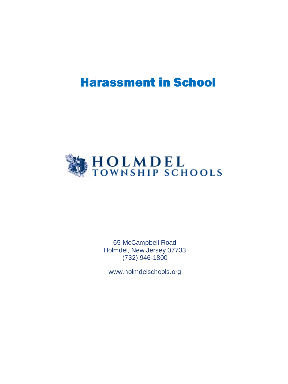# Harassment in School



65 McCampbell Road Holmdel, New Jersey 07733 (732) 946-1800

www.holmdelschools.org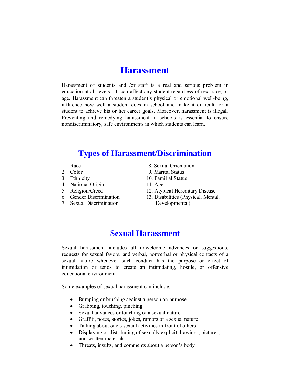# **Harassment**

Harassment of students and /or staff is a real and serious problem in education at all levels. It can affect any student regardless of sex, race, or age. Harassment can threaten a student's physical or emotional well-being, influence how well a student does in school and make it difficult for a student to achieve his or her career goals. Moreover, harassment is illegal. Preventing and remedying harassment in schools is essential to ensure nondiscriminatory, safe environments in which students can learn.

#### **Types of Harassment/Discrimination**

- 
- 
- 
- 4. National Origin 11. Age
- 
- 
- 
- 1. Race 8. Sexual Orientation
- 2. Color 9. Marital Status
- 3. Ethnicity 10. Familial Status
	-
- 5. Religion/Creed 12. Atypical Hereditary Disease
- 6. Gender Discrimination 13. Disabilities (Physical, Mental, 7. Sexual Discrimination Developmental)

#### **Sexual Harassment**

Sexual harassment includes all unwelcome advances or suggestions, requests for sexual favors, and verbal, nonverbal or physical contacts of a sexual nature whenever such conduct has the purpose or effect of intimidation or tends to create an intimidating, hostile, or offensive educational environment.

Some examples of sexual harassment can include:

- Bumping or brushing against a person on purpose
- Grabbing, touching, pinching
- Sexual advances or touching of a sexual nature
- Graffiti, notes, stories, jokes, rumors of a sexual nature
- Talking about one's sexual activities in front of others
- Displaying or distributing of sexually explicit drawings, pictures, and written materials
- Threats, insults, and comments about a person's body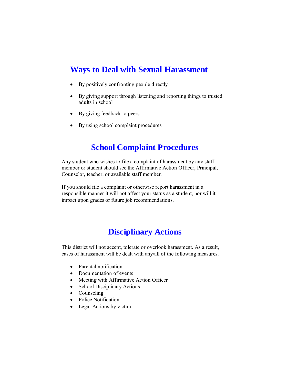# **Ways to Deal with Sexual Harassment**

- By positively confronting people directly
- By giving support through listening and reporting things to trusted adults in school
- By giving feedback to peers
- By using school complaint procedures

#### **School Complaint Procedures**

Any student who wishes to file a complaint of harassment by any staff member or student should see the Affirmative Action Officer, Principal, Counselor, teacher, or available staff member.

If you should file a complaint or otherwise report harassment in a responsible manner it will not affect your status as a student, nor will it impact upon grades or future job recommendations.

### **Disciplinary Actions**

This district will not accept, tolerate or overlook harassment. As a result, cases of harassment will be dealt with any/all of the following measures.

- Parental notification
- Documentation of events
- Meeting with Affirmative Action Officer
- School Disciplinary Actions
- Counseling
- Police Notification
- Legal Actions by victim